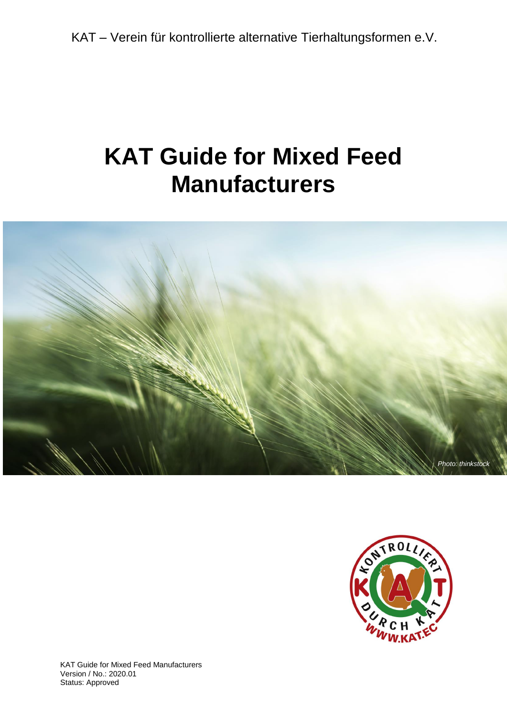# **KAT Guide for Mixed Feed Manufacturers**





KAT Guide for Mixed Feed Manufacturers Version / No.: 2020.01 Status: Approved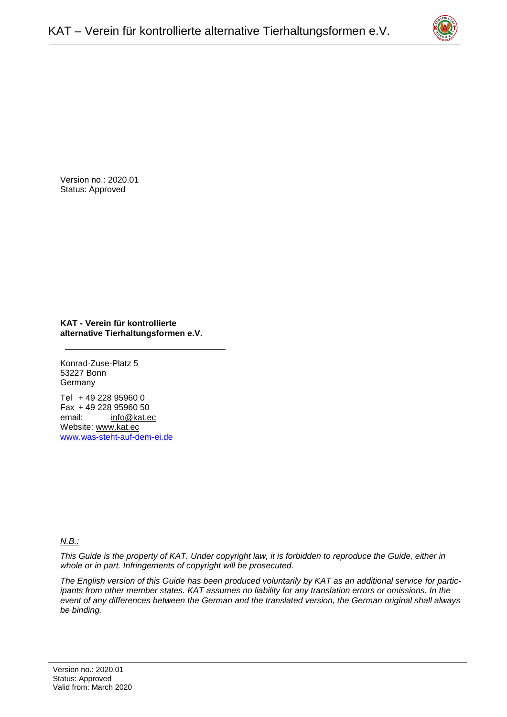

Version no.: 2020.01 Status: Approved

**KAT - Verein für kontrollierte alternative Tierhaltungsformen e.V.**

Konrad-Zuse-Platz 5 53227 Bonn **Germany** 

Tel + 49 228 95960 0 Fax + 49 228 95960 50 email: [info@kat.ec](mailto:info@kat.ec) Website: [www.kat.ec](http://www.kat.ec/) [www.was-steht-auf-dem-ei.de](http://www.was-steht-auf-dem-ei.de/)

## *N.B.:*

*This Guide is the property of KAT. Under copyright law, it is forbidden to reproduce the Guide, either in whole or in part. Infringements of copyright will be prosecuted.* 

*The English version of this Guide has been produced voluntarily by KAT as an additional service for participants from other member states. KAT assumes no liability for any translation errors or omissions. In the event of any differences between the German and the translated version, the German original shall always be binding.*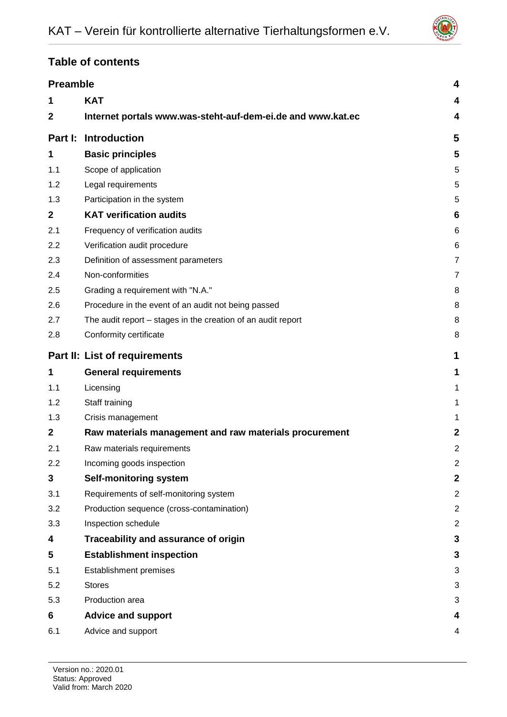

# **Table of contents**

| <b>Preamble</b>               | 4                                                            |                         |
|-------------------------------|--------------------------------------------------------------|-------------------------|
| 1                             | <b>KAT</b>                                                   | 4                       |
| $\mathbf{2}$                  | Internet portals www.was-steht-auf-dem-ei.de and www.kat.ec  | 4                       |
| Part I:                       | <b>Introduction</b>                                          | 5                       |
| 1                             | <b>Basic principles</b>                                      | 5                       |
| 1.1                           | Scope of application                                         | 5                       |
| 1.2                           | Legal requirements                                           | 5                       |
| 1.3                           | Participation in the system                                  | 5                       |
| $\mathbf{2}$                  | <b>KAT verification audits</b>                               | 6                       |
| 2.1                           | Frequency of verification audits                             | 6                       |
| 2.2                           | Verification audit procedure                                 | 6                       |
| 2.3                           | Definition of assessment parameters                          | 7                       |
| 2.4                           | Non-conformities                                             | 7                       |
| 2.5                           | Grading a requirement with "N.A."                            | 8                       |
| 2.6                           | Procedure in the event of an audit not being passed          | 8                       |
| 2.7                           | The audit report – stages in the creation of an audit report | 8                       |
| 2.8                           | Conformity certificate                                       | 8                       |
| Part II: List of requirements |                                                              | 1                       |
| 1                             | <b>General requirements</b>                                  | 1                       |
| 1.1                           | Licensing                                                    | 1                       |
| 1.2                           | Staff training                                               | 1                       |
| 1.3                           | Crisis management                                            | 1                       |
| $\mathbf{2}$                  | Raw materials management and raw materials procurement       | $\overline{2}$          |
| 2.1                           | Raw materials requirements                                   | $\overline{2}$          |
| 2.2                           | Incoming goods inspection                                    | $\overline{c}$          |
| 3                             | Self-monitoring system                                       | $\overline{\mathbf{2}}$ |
| 3.1                           | Requirements of self-monitoring system                       | $\overline{c}$          |
| 3.2                           | Production sequence (cross-contamination)                    | $\overline{2}$          |
| 3.3                           | Inspection schedule                                          | $\overline{2}$          |
| 4                             | Traceability and assurance of origin                         | 3                       |
| 5                             | <b>Establishment inspection</b>                              | 3                       |
| 5.1                           | Establishment premises                                       | 3                       |
| 5.2                           | <b>Stores</b>                                                | 3                       |
| 5.3                           | Production area                                              | 3                       |
| 6                             | <b>Advice and support</b>                                    | 4                       |
| 6.1                           | Advice and support                                           | 4                       |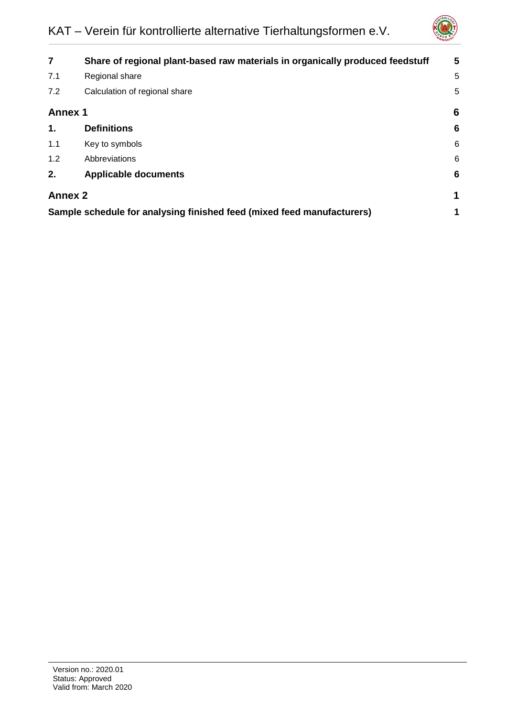

| $\overline{7}$                                                         | Share of regional plant-based raw materials in organically produced feedstuff | 5               |
|------------------------------------------------------------------------|-------------------------------------------------------------------------------|-----------------|
| 7.1                                                                    | Regional share                                                                | 5               |
| 7.2                                                                    | Calculation of regional share                                                 | 5               |
| <b>Annex 1</b>                                                         |                                                                               |                 |
| 1.                                                                     | <b>Definitions</b>                                                            | $6\phantom{1}6$ |
| 1.1                                                                    | Key to symbols                                                                | 6               |
| 1.2                                                                    | Abbreviations                                                                 | 6               |
| 2.                                                                     | <b>Applicable documents</b>                                                   | $6\phantom{1}6$ |
| <b>Annex 2</b>                                                         |                                                                               |                 |
| Sample schedule for analysing finished feed (mixed feed manufacturers) |                                                                               |                 |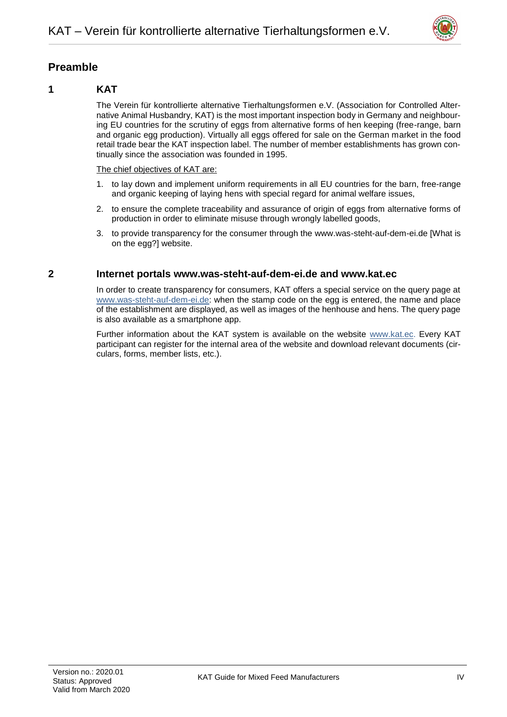

# <span id="page-4-0"></span>**Preamble**

# <span id="page-4-1"></span>**1 KAT**

The Verein für kontrollierte alternative Tierhaltungsformen e.V. (Association for Controlled Alternative Animal Husbandry, KAT) is the most important inspection body in Germany and neighbouring EU countries for the scrutiny of eggs from alternative forms of hen keeping (free-range, barn and organic egg production). Virtually all eggs offered for sale on the German market in the food retail trade bear the KAT inspection label. The number of member establishments has grown continually since the association was founded in 1995.

#### The chief objectives of KAT are:

- 1. to lay down and implement uniform requirements in all EU countries for the barn, free-range and organic keeping of laying hens with special regard for animal welfare issues,
- 2. to ensure the complete traceability and assurance of origin of eggs from alternative forms of production in order to eliminate misuse through wrongly labelled goods,
- 3. to provide transparency for the consumer through the www.was-steht-auf-dem-ei.de [What is on the egg?] website.

## <span id="page-4-2"></span>**2 Internet portals [www.was-steht-auf-dem-ei.de](http://www.was-steht-auf-dem-ei.de/) and [www.kat.ec](http://www.kat.ec/)**

In order to create transparency for consumers, KAT offers a special service on the query page at [www.was-steht-auf-dem-ei.de:](http://www.was-steht-auf-dem-ei.de/) when the stamp code on the egg is entered, the name and place of the establishment are displayed, as well as images of the henhouse and hens. The query page is also available as a smartphone app.

Further information about the KAT system is available on the website [www.kat.ec.](http://www.kat.ec/) Every KAT participant can register for the internal area of the website and download relevant documents (circulars, forms, member lists, etc.).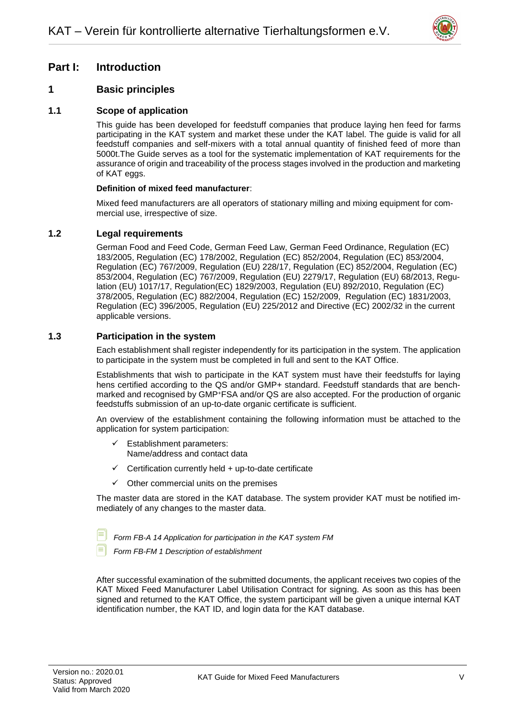

# <span id="page-5-0"></span>**Part I: Introduction**

# <span id="page-5-1"></span>**1 Basic principles**

## <span id="page-5-2"></span>**1.1 Scope of application**

This guide has been developed for feedstuff companies that produce laying hen feed for farms participating in the KAT system and market these under the KAT label. The guide is valid for all feedstuff companies and self-mixers with a total annual quantity of finished feed of more than 5000t.The Guide serves as a tool for the systematic implementation of KAT requirements for the assurance of origin and traceability of the process stages involved in the production and marketing of KAT eggs.

#### **Definition of mixed feed manufacturer**:

Mixed feed manufacturers are all operators of stationary milling and mixing equipment for commercial use, irrespective of size.

## <span id="page-5-3"></span>**1.2 Legal requirements**

German Food and Feed Code, German Feed Law, German Feed Ordinance, Regulation (EC) 183/2005, Regulation (EC) 178/2002, Regulation (EC) 852/2004, Regulation (EC) 853/2004, Regulation (EC) 767/2009, Regulation (EU) 228/17, Regulation (EC) 852/2004, Regulation (EC) 853/2004, Regulation (EC) 767/2009, Regulation (EU) 2279/17, Regulation (EU) 68/2013, Regulation (EU) 1017/17, Regulation(EC) 1829/2003, Regulation (EU) 892/2010, Regulation (EC) 378/2005, Regulation (EC) 882/2004, Regulation (EC) 152/2009, Regulation (EC) 1831/2003, Regulation (EC) 396/2005, Regulation (EU) 225/2012 and Directive (EC) 2002/32 in the current applicable versions.

## <span id="page-5-4"></span>**1.3 Participation in the system**

Each establishment shall register independently for its participation in the system. The application to participate in the system must be completed in full and sent to the KAT Office.

Establishments that wish to participate in the KAT system must have their feedstuffs for laying hens certified according to the QS and/or GMP+ standard. Feedstuff standards that are benchmarked and recognised by GMP<sup>+</sup>FSA and/or QS are also accepted. For the production of organic feedstuffs submission of an up-to-date organic certificate is sufficient.

An overview of the establishment containing the following information must be attached to the application for system participation:

- $\checkmark$  Establishment parameters: Name/address and contact data
- Certification currently held + up-to-date certificate
- $\checkmark$  Other commercial units on the premises

The master data are stored in the KAT database. The system provider KAT must be notified immediately of any changes to the master data.

- *Form FB-A 14 Application for participation in the KAT system FM*
- *Form FB-FM 1 Description of establishment*

After successful examination of the submitted documents, the applicant receives two copies of the KAT Mixed Feed Manufacturer Label Utilisation Contract for signing. As soon as this has been signed and returned to the KAT Office, the system participant will be given a unique internal KAT identification number, the KAT ID, and login data for the KAT database.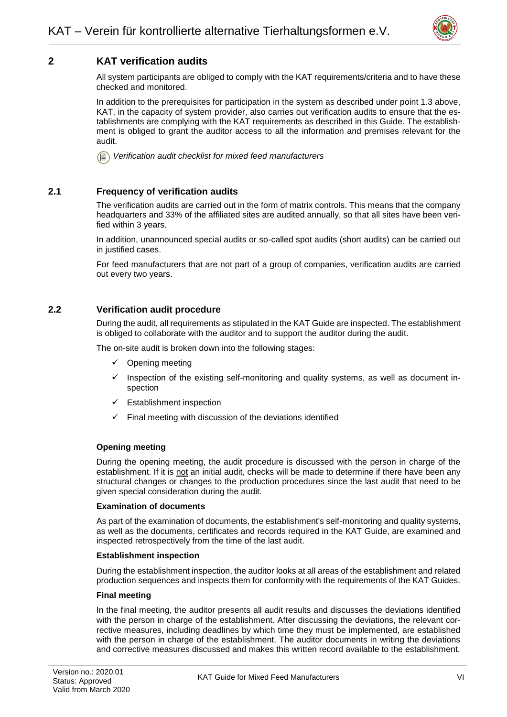

# <span id="page-6-0"></span>**2 KAT verification audits**

All system participants are obliged to comply with the KAT requirements/criteria and to have these checked and monitored.

In addition to the prerequisites for participation in the system as described under point 1.3 above, KAT, in the capacity of system provider, also carries out verification audits to ensure that the establishments are complying with the KAT requirements as described in this Guide. The establishment is obliged to grant the auditor access to all the information and premises relevant for the audit.

*Verification audit checklist for mixed feed manufacturers*

## <span id="page-6-1"></span>**2.1 Frequency of verification audits**

The verification audits are carried out in the form of matrix controls. This means that the company headquarters and 33% of the affiliated sites are audited annually, so that all sites have been verified within 3 years.

In addition, unannounced special audits or so-called spot audits (short audits) can be carried out in justified cases.

For feed manufacturers that are not part of a group of companies, verification audits are carried out every two years.

## <span id="page-6-2"></span>**2.2 Verification audit procedure**

During the audit, all requirements as stipulated in the KAT Guide are inspected. The establishment is obliged to collaborate with the auditor and to support the auditor during the audit.

The on-site audit is broken down into the following stages:

- Opening meeting
- Inspection of the existing self-monitoring and quality systems, as well as document inspection
- Establishment inspection
- $\checkmark$  Final meeting with discussion of the deviations identified

#### **Opening meeting**

During the opening meeting, the audit procedure is discussed with the person in charge of the establishment. If it is not an initial audit, checks will be made to determine if there have been any structural changes or changes to the production procedures since the last audit that need to be given special consideration during the audit.

#### **Examination of documents**

As part of the examination of documents, the establishment's self-monitoring and quality systems, as well as the documents, certificates and records required in the KAT Guide, are examined and inspected retrospectively from the time of the last audit.

#### **Establishment inspection**

During the establishment inspection, the auditor looks at all areas of the establishment and related production sequences and inspects them for conformity with the requirements of the KAT Guides.

#### **Final meeting**

In the final meeting, the auditor presents all audit results and discusses the deviations identified with the person in charge of the establishment. After discussing the deviations, the relevant corrective measures, including deadlines by which time they must be implemented, are established with the person in charge of the establishment. The auditor documents in writing the deviations and corrective measures discussed and makes this written record available to the establishment.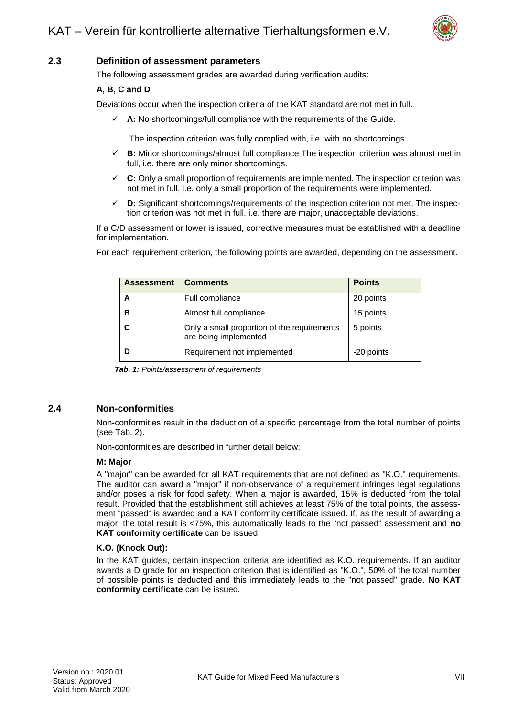

## <span id="page-7-0"></span>**2.3 Definition of assessment parameters**

The following assessment grades are awarded during verification audits:

#### **A, B, C and D**

Deviations occur when the inspection criteria of the KAT standard are not met in full.

 $\checkmark$  **A:** No shortcomings/full compliance with the requirements of the Guide.

The inspection criterion was fully complied with, i.e. with no shortcomings.

- **B:** Minor shortcomings/almost full compliance The inspection criterion was almost met in full, i.e. there are only minor shortcomings.
- **C:** Only a small proportion of requirements are implemented. The inspection criterion was not met in full, i.e. only a small proportion of the requirements were implemented.
- **D:** Significant shortcomings/requirements of the inspection criterion not met. The inspection criterion was not met in full, i.e. there are major, unacceptable deviations.

If a C/D assessment or lower is issued, corrective measures must be established with a deadline for implementation.

| <b>Assessment</b> | <b>Comments</b>                                                      | <b>Points</b> |
|-------------------|----------------------------------------------------------------------|---------------|
|                   | Full compliance                                                      | 20 points     |
| в                 | Almost full compliance                                               | 15 points     |
|                   | Only a small proportion of the requirements<br>are being implemented | 5 points      |
|                   | Requirement not implemented                                          | -20 points    |

For each requirement criterion, the following points are awarded, depending on the assessment.

*Tab. 1: Points/assessment of requirements* 

#### <span id="page-7-1"></span>**2.4 Non-conformities**

Non-conformities result in the deduction of a specific percentage from the total number of points (see Tab. 2).

Non-conformities are described in further detail below:

#### **M: Major**

A "major" can be awarded for all KAT requirements that are not defined as "K.O." requirements. The auditor can award a "major" if non-observance of a requirement infringes legal regulations and/or poses a risk for food safety. When a major is awarded, 15% is deducted from the total result. Provided that the establishment still achieves at least 75% of the total points, the assessment "passed" is awarded and a KAT conformity certificate issued. If, as the result of awarding a major, the total result is <75%, this automatically leads to the "not passed" assessment and **no KAT conformity certificate** can be issued.

#### **K.O. (Knock Out):**

In the KAT guides, certain inspection criteria are identified as K.O. requirements. If an auditor awards a D grade for an inspection criterion that is identified as "K.O.", 50% of the total number of possible points is deducted and this immediately leads to the "not passed" grade. **No KAT conformity certificate** can be issued.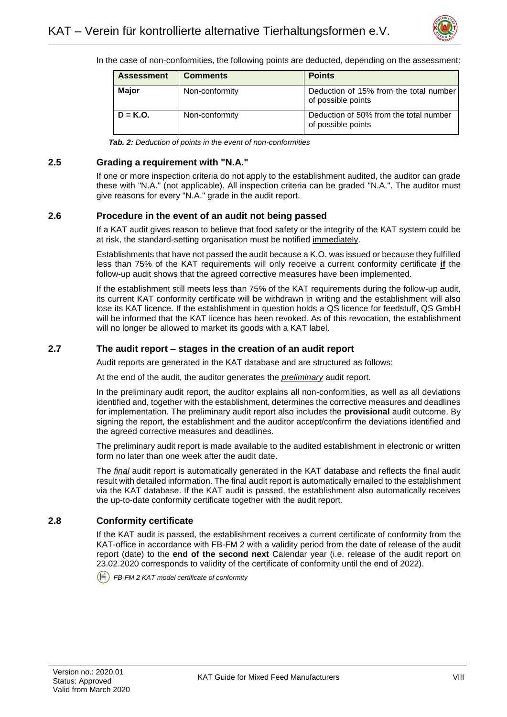

In the case of non-conformities, the following points are deducted, depending on the assessment:

| <b>Assessment</b> | <b>Comments</b> | <b>Points</b>                                                |
|-------------------|-----------------|--------------------------------------------------------------|
| <b>Major</b>      | Non-conformity  | Deduction of 15% from the total number<br>of possible points |
| $D = K.O.$        | Non-conformity  | Deduction of 50% from the total number<br>of possible points |

*Tab. 2: Deduction of points in the event of non-conformities*

## <span id="page-8-0"></span>**2.5 Grading a requirement with "N.A."**

If one or more inspection criteria do not apply to the establishment audited, the auditor can grade these with "N.A." (not applicable). All inspection criteria can be graded "N.A.". The auditor must give reasons for every "N.A." grade in the audit report.

## <span id="page-8-1"></span>**2.6 Procedure in the event of an audit not being passed**

If a KAT audit gives reason to believe that food safety or the integrity of the KAT system could be at risk, the standard-setting organisation must be notified immediately.

Establishments that have not passed the audit because a K.O. was issued or because they fulfilled less than 75% of the KAT requirements will only receive a current conformity certificate **if** the follow-up audit shows that the agreed corrective measures have been implemented.

If the establishment still meets less than 75% of the KAT requirements during the follow-up audit, its current KAT conformity certificate will be withdrawn in writing and the establishment will also lose its KAT licence. If the establishment in question holds a QS licence for feedstuff, QS GmbH will be informed that the KAT licence has been revoked. As of this revocation, the establishment will no longer be allowed to market its goods with a KAT label.

## <span id="page-8-2"></span>**2.7 The audit report – stages in the creation of an audit report**

Audit reports are generated in the KAT database and are structured as follows:

At the end of the audit, the auditor generates the *preliminary* audit report.

In the preliminary audit report, the auditor explains all non-conformities, as well as all deviations identified and, together with the establishment, determines the corrective measures and deadlines for implementation. The preliminary audit report also includes the **provisional** audit outcome. By signing the report, the establishment and the auditor accept/confirm the deviations identified and the agreed corrective measures and deadlines.

The preliminary audit report is made available to the audited establishment in electronic or written form no later than one week after the audit date.

The *final* audit report is automatically generated in the KAT database and reflects the final audit result with detailed information. The final audit report is automatically emailed to the establishment via the KAT database. If the KAT audit is passed, the establishment also automatically receives the up-to-date conformity certificate together with the audit report.

## <span id="page-8-3"></span>**2.8 Conformity certificate**

If the KAT audit is passed, the establishment receives a current certificate of conformity from the KAT-office in accordance with FB-FM 2 with a validity period from the date of release of the audit report (date) to the **end of the second next** Calendar year (i.e. release of the audit report on 23.02.2020 corresponds to validity of the certificate of conformity until the end of 2022).

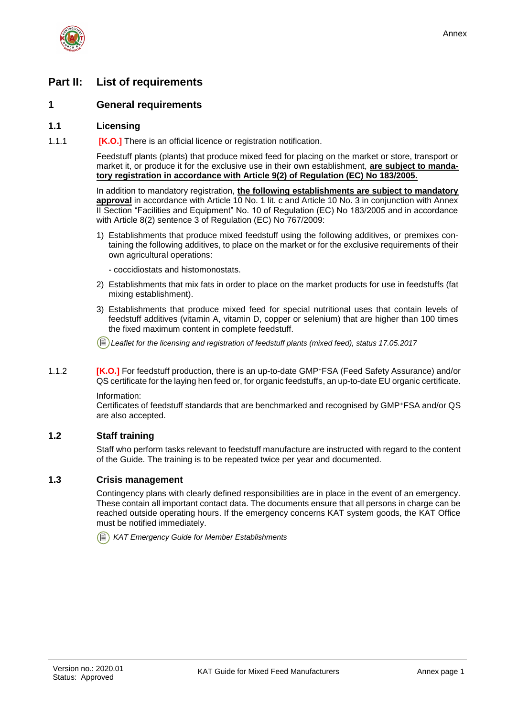

# <span id="page-9-0"></span>**Part II: List of requirements**

## <span id="page-9-1"></span>**1 General requirements**

#### <span id="page-9-2"></span>**1.1 Licensing**

1.1.1 **[K.O.]** There is an official licence or registration notification.

Feedstuff plants (plants) that produce mixed feed for placing on the market or store, transport or market it, or produce it for the exclusive use in their own establishment, **are subject to mandatory registration in accordance with Article 9(2) of Regulation (EC) No 183/2005.** 

In addition to mandatory registration, **the following establishments are subject to mandatory approval** in accordance with Article 10 No. 1 lit. c and Article 10 No. 3 in conjunction with Annex II Section "Facilities and Equipment" No. 10 of Regulation (EC) No 183/2005 and in accordance with Article 8(2) sentence 3 of Regulation (EC) No 767/2009:

- 1) Establishments that produce mixed feedstuff using the following additives, or premixes containing the following additives, to place on the market or for the exclusive requirements of their own agricultural operations:
	- coccidiostats and histomonostats.
- 2) Establishments that mix fats in order to place on the market products for use in feedstuffs (fat mixing establishment).
- 3) Establishments that produce mixed feed for special nutritional uses that contain levels of feedstuff additives (vitamin A, vitamin D, copper or selenium) that are higher than 100 times the fixed maximum content in complete feedstuff.

*Leaflet for the licensing and registration of feedstuff plants (mixed feed), status 17.05.2017*

1.1.2 **[K.O.]** For feedstuff production, there is an up-to-date GMP<sup>+</sup>FSA (Feed Safety Assurance) and/or QS certificate for the laying hen feed or, for organic feedstuffs, an up-to-date EU organic certificate.

Information:

Certificates of feedstuff standards that are benchmarked and recognised by GMP<sup>+</sup>FSA and/or QS are also accepted.

## <span id="page-9-3"></span>**1.2 Staff training**

Staff who perform tasks relevant to feedstuff manufacture are instructed with regard to the content of the Guide. The training is to be repeated twice per year and documented.

## <span id="page-9-4"></span>**1.3 Crisis management**

Contingency plans with clearly defined responsibilities are in place in the event of an emergency. These contain all important contact data. The documents ensure that all persons in charge can be reached outside operating hours. If the emergency concerns KAT system goods, the KAT Office must be notified immediately.

*KAT Emergency Guide for Member Establishments*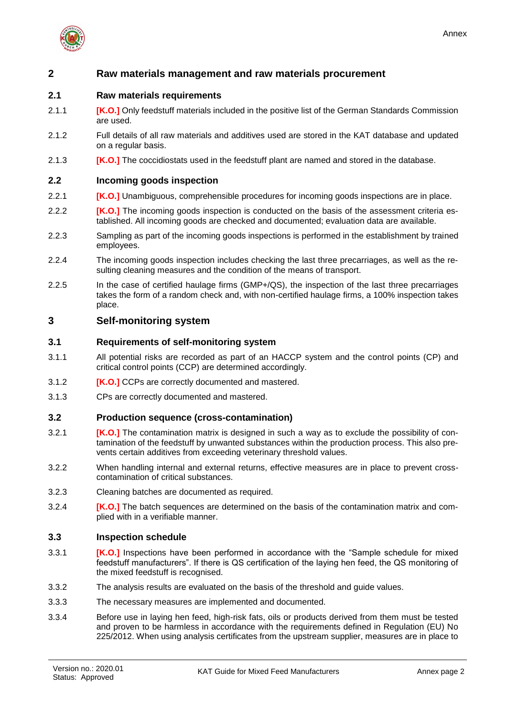

## <span id="page-10-0"></span>**2 Raw materials management and raw materials procurement**

## <span id="page-10-1"></span>**2.1 Raw materials requirements**

- 2.1.1 **[K.O.]** Only feedstuff materials included in the positive list of the German Standards Commission are used.
- 2.1.2 Full details of all raw materials and additives used are stored in the KAT database and updated on a regular basis.
- 2.1.3 **[K.O.]** The coccidiostats used in the feedstuff plant are named and stored in the database.

#### <span id="page-10-2"></span>**2.2 Incoming goods inspection**

- 2.2.1 **[K.O.]** Unambiguous, comprehensible procedures for incoming goods inspections are in place.
- 2.2.2 **IK.O.** I The incoming goods inspection is conducted on the basis of the assessment criteria established. All incoming goods are checked and documented; evaluation data are available.
- 2.2.3 Sampling as part of the incoming goods inspections is performed in the establishment by trained employees.
- 2.2.4 The incoming goods inspection includes checking the last three precarriages, as well as the resulting cleaning measures and the condition of the means of transport.
- 2.2.5 In the case of certified haulage firms (GMP+/QS), the inspection of the last three precarriages takes the form of a random check and, with non-certified haulage firms, a 100% inspection takes place.

## <span id="page-10-3"></span>**3 Self-monitoring system**

#### <span id="page-10-4"></span>**3.1 Requirements of self-monitoring system**

- 3.1.1 All potential risks are recorded as part of an HACCP system and the control points (CP) and critical control points (CCP) are determined accordingly.
- 3.1.2 **[K.O.]** CCPs are correctly documented and mastered.
- 3.1.3 CPs are correctly documented and mastered.

#### <span id="page-10-5"></span>**3.2 Production sequence (cross-contamination)**

- 3.2.1 **[K.O.]** The contamination matrix is designed in such a way as to exclude the possibility of contamination of the feedstuff by unwanted substances within the production process. This also prevents certain additives from exceeding veterinary threshold values.
- 3.2.2 When handling internal and external returns, effective measures are in place to prevent crosscontamination of critical substances.
- 3.2.3 Cleaning batches are documented as required.
- 3.2.4 **[K.O.]** The batch sequences are determined on the basis of the contamination matrix and complied with in a verifiable manner.

#### <span id="page-10-6"></span>**3.3 Inspection schedule**

- 3.3.1 **[K.O.]** Inspections have been performed in accordance with the "Sample schedule for mixed feedstuff manufacturers". If there is QS certification of the laying hen feed, the QS monitoring of the mixed feedstuff is recognised.
- 3.3.2 The analysis results are evaluated on the basis of the threshold and guide values.
- 3.3.3 The necessary measures are implemented and documented.
- 3.3.4 Before use in laying hen feed, high-risk fats, oils or products derived from them must be tested and proven to be harmless in accordance with the requirements defined in Regulation (EU) No 225/2012. When using analysis certificates from the upstream supplier, measures are in place to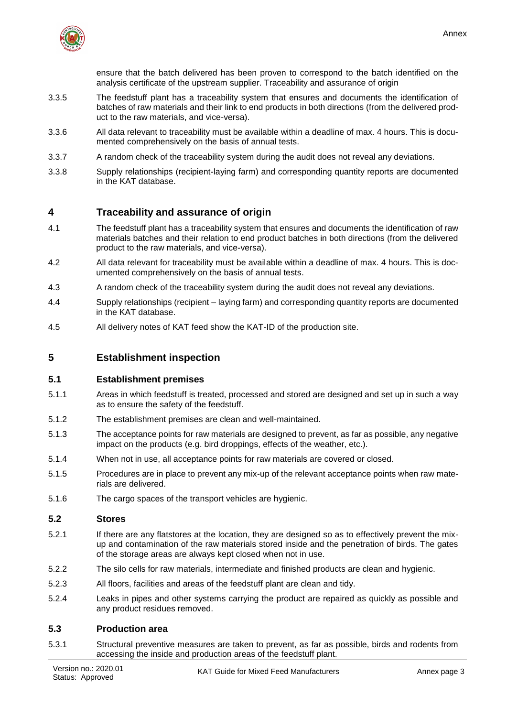

ensure that the batch delivered has been proven to correspond to the batch identified on the analysis certificate of the upstream supplier. Traceability and assurance of origin

- 3.3.5 The feedstuff plant has a traceability system that ensures and documents the identification of batches of raw materials and their link to end products in both directions (from the delivered product to the raw materials, and vice-versa).
- 3.3.6 All data relevant to traceability must be available within a deadline of max. 4 hours. This is documented comprehensively on the basis of annual tests.
- 3.3.7 A random check of the traceability system during the audit does not reveal any deviations.
- 3.3.8 Supply relationships (recipient-laying farm) and corresponding quantity reports are documented in the KAT database.

## <span id="page-11-0"></span>**4 Traceability and assurance of origin**

- 4.1 The feedstuff plant has a traceability system that ensures and documents the identification of raw materials batches and their relation to end product batches in both directions (from the delivered product to the raw materials, and vice-versa).
- 4.2 All data relevant for traceability must be available within a deadline of max. 4 hours. This is documented comprehensively on the basis of annual tests.
- 4.3 A random check of the traceability system during the audit does not reveal any deviations.
- 4.4 Supply relationships (recipient laying farm) and corresponding quantity reports are documented in the KAT database.
- 4.5 All delivery notes of KAT feed show the KAT-ID of the production site.

## <span id="page-11-1"></span>**5 Establishment inspection**

#### <span id="page-11-2"></span>**5.1 Establishment premises**

- 5.1.1 Areas in which feedstuff is treated, processed and stored are designed and set up in such a way as to ensure the safety of the feedstuff.
- 5.1.2 The establishment premises are clean and well-maintained.
- 5.1.3 The acceptance points for raw materials are designed to prevent, as far as possible, any negative impact on the products (e.g. bird droppings, effects of the weather, etc.).
- 5.1.4 When not in use, all acceptance points for raw materials are covered or closed.
- 5.1.5 Procedures are in place to prevent any mix-up of the relevant acceptance points when raw materials are delivered.
- 5.1.6 The cargo spaces of the transport vehicles are hygienic.

#### <span id="page-11-3"></span>**5.2 Stores**

- 5.2.1 If there are any flatstores at the location, they are designed so as to effectively prevent the mixup and contamination of the raw materials stored inside and the penetration of birds. The gates of the storage areas are always kept closed when not in use.
- 5.2.2 The silo cells for raw materials, intermediate and finished products are clean and hygienic.
- 5.2.3 All floors, facilities and areas of the feedstuff plant are clean and tidy.
- 5.2.4 Leaks in pipes and other systems carrying the product are repaired as quickly as possible and any product residues removed.

#### <span id="page-11-4"></span>**5.3 Production area**

5.3.1 Structural preventive measures are taken to prevent, as far as possible, birds and rodents from accessing the inside and production areas of the feedstuff plant.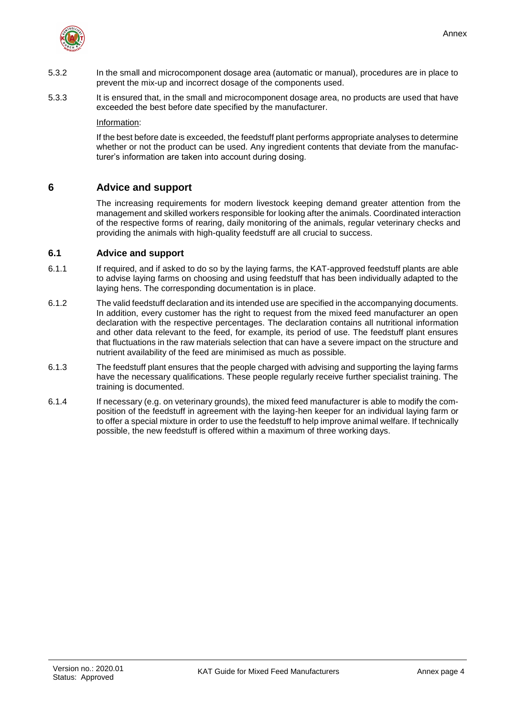

- 5.3.2 In the small and microcomponent dosage area (automatic or manual), procedures are in place to prevent the mix-up and incorrect dosage of the components used.
- 5.3.3 It is ensured that, in the small and microcomponent dosage area, no products are used that have exceeded the best before date specified by the manufacturer.

Information:

If the best before date is exceeded, the feedstuff plant performs appropriate analyses to determine whether or not the product can be used. Any ingredient contents that deviate from the manufacturer's information are taken into account during dosing.

## <span id="page-12-0"></span>**6 Advice and support**

The increasing requirements for modern livestock keeping demand greater attention from the management and skilled workers responsible for looking after the animals. Coordinated interaction of the respective forms of rearing, daily monitoring of the animals, regular veterinary checks and providing the animals with high-quality feedstuff are all crucial to success.

#### <span id="page-12-1"></span>**6.1 Advice and support**

- 6.1.1 If required, and if asked to do so by the laying farms, the KAT-approved feedstuff plants are able to advise laying farms on choosing and using feedstuff that has been individually adapted to the laying hens. The corresponding documentation is in place.
- 6.1.2 The valid feedstuff declaration and its intended use are specified in the accompanying documents. In addition, every customer has the right to request from the mixed feed manufacturer an open declaration with the respective percentages. The declaration contains all nutritional information and other data relevant to the feed, for example, its period of use. The feedstuff plant ensures that fluctuations in the raw materials selection that can have a severe impact on the structure and nutrient availability of the feed are minimised as much as possible.
- 6.1.3 The feedstuff plant ensures that the people charged with advising and supporting the laying farms have the necessary qualifications. These people regularly receive further specialist training. The training is documented.
- 6.1.4 If necessary (e.g. on veterinary grounds), the mixed feed manufacturer is able to modify the composition of the feedstuff in agreement with the laying-hen keeper for an individual laying farm or to offer a special mixture in order to use the feedstuff to help improve animal welfare. If technically possible, the new feedstuff is offered within a maximum of three working days.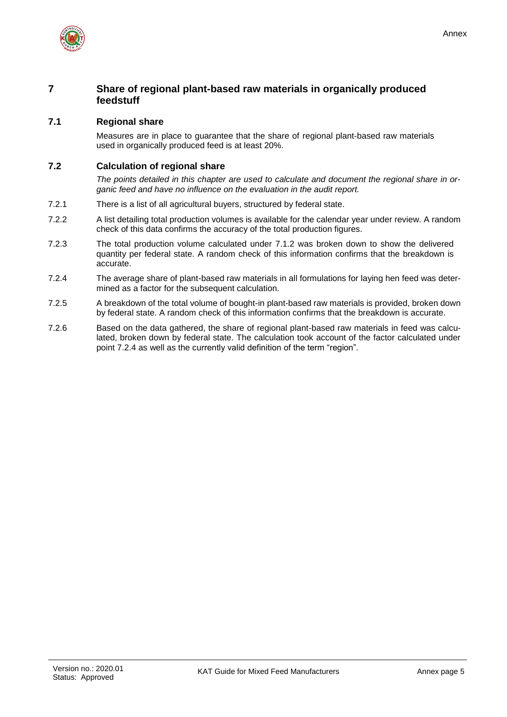

## <span id="page-13-0"></span>**7 Share of regional plant-based raw materials in organically produced feedstuff**

## <span id="page-13-1"></span>**7.1 Regional share**

Measures are in place to guarantee that the share of regional plant-based raw materials used in organically produced feed is at least 20%.

## <span id="page-13-2"></span>**7.2 Calculation of regional share**

*The points detailed in this chapter are used to calculate and document the regional share in organic feed and have no influence on the evaluation in the audit report.*

- 7.2.1 There is a list of all agricultural buyers, structured by federal state.
- 7.2.2 A list detailing total production volumes is available for the calendar year under review. A random check of this data confirms the accuracy of the total production figures.
- 7.2.3 The total production volume calculated under 7.1.2 was broken down to show the delivered quantity per federal state. A random check of this information confirms that the breakdown is accurate.
- 7.2.4 The average share of plant-based raw materials in all formulations for laying hen feed was determined as a factor for the subsequent calculation.
- 7.2.5 A breakdown of the total volume of bought-in plant-based raw materials is provided, broken down by federal state. A random check of this information confirms that the breakdown is accurate.
- 7.2.6 Based on the data gathered, the share of regional plant-based raw materials in feed was calculated, broken down by federal state. The calculation took account of the factor calculated under point 7.2.4 as well as the currently valid definition of the term "region".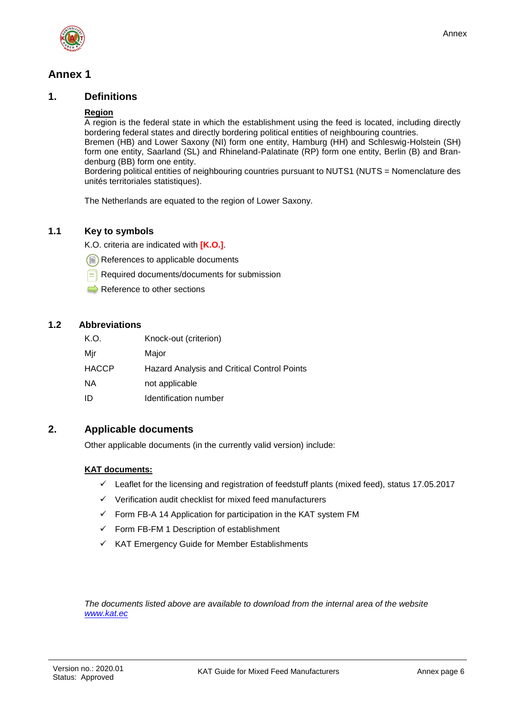

# <span id="page-14-0"></span>**Annex 1**

## <span id="page-14-1"></span>**1. Definitions**

#### **Region**

A region is the federal state in which the establishment using the feed is located, including directly bordering federal states and directly bordering political entities of neighbouring countries. Bremen (HB) and Lower Saxony (NI) form one entity, Hamburg (HH) and Schleswig-Holstein (SH) form one entity, Saarland (SL) and Rhineland-Palatinate (RP) form one entity, Berlin (B) and Brandenburg (BB) form one entity.

Bordering political entities of neighbouring countries pursuant to NUTS1 (NUTS = Nomenclature des unités territoriales statistiques).

The Netherlands are equated to the region of Lower Saxony.

## <span id="page-14-2"></span>**1.1 Key to symbols**

K.O. criteria are indicated with **[K.O.]**.

References to applicable documents

- Required documents/documents for submission
- $\Rightarrow$  Reference to other sections

## <span id="page-14-3"></span>**1.2 Abbreviations**

| K.O.         | Knock-out (criterion)                       |
|--------------|---------------------------------------------|
| Mir          | Major                                       |
| <b>HACCP</b> | Hazard Analysis and Critical Control Points |
| NA.          | not applicable                              |
| ID           | Identification number                       |

## <span id="page-14-4"></span>**2. Applicable documents**

Other applicable documents (in the currently valid version) include:

#### **KAT documents:**

- $\checkmark$  Leaflet for the licensing and registration of feedstuff plants (mixed feed), status 17.05.2017
- $\checkmark$  Verification audit checklist for mixed feed manufacturers
- $\checkmark$  Form FB-A 14 Application for participation in the KAT system FM
- $\checkmark$  Form FB-FM 1 Description of establishment
- $\checkmark$  KAT Emergency Guide for Member Establishments

*The documents listed above are available to download from the internal area of the website [www.kat.ec](http://www.kat.ec/)*